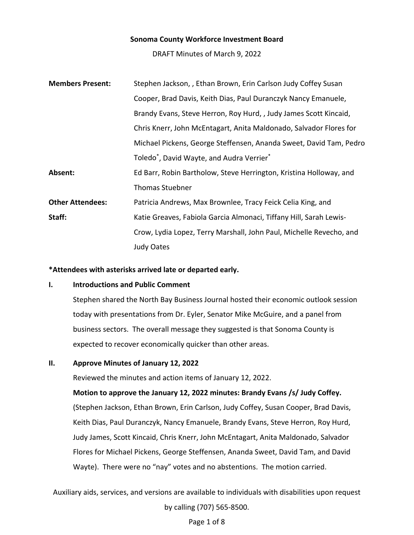### **Sonoma County Workforce Investment Board**

DRAFT Minutes of March 9, 2022

| <b>Members Present:</b> | Stephen Jackson, , Ethan Brown, Erin Carlson Judy Coffey Susan      |
|-------------------------|---------------------------------------------------------------------|
|                         | Cooper, Brad Davis, Keith Dias, Paul Duranczyk Nancy Emanuele,      |
|                         | Brandy Evans, Steve Herron, Roy Hurd, , Judy James Scott Kincaid,   |
|                         | Chris Knerr, John McEntagart, Anita Maldonado, Salvador Flores for  |
|                         | Michael Pickens, George Steffensen, Ananda Sweet, David Tam, Pedro  |
|                         | Toledo <sup>*</sup> , David Wayte, and Audra Verrier <sup>*</sup>   |
| Absent:                 | Ed Barr, Robin Bartholow, Steve Herrington, Kristina Holloway, and  |
|                         | <b>Thomas Stuebner</b>                                              |
| <b>Other Attendees:</b> | Patricia Andrews, Max Brownlee, Tracy Feick Celia King, and         |
| Staff:                  | Katie Greaves, Fabiola Garcia Almonaci, Tiffany Hill, Sarah Lewis-  |
|                         | Crow, Lydia Lopez, Terry Marshall, John Paul, Michelle Revecho, and |
|                         | <b>Judy Oates</b>                                                   |

#### **\*Attendees with asterisks arrived late or departed early.**

#### **I. Introductions and Public Comment**

Stephen shared the North Bay Business Journal hosted their economic outlook session today with presentations from Dr. Eyler, Senator Mike McGuire, and a panel from business sectors. The overall message they suggested is that Sonoma County is expected to recover economically quicker than other areas.

### **II. Approve Minutes of January 12, 2022**

Reviewed the minutes and action items of January 12, 2022.

**Motion to approve the January 12, 2022 minutes: Brandy Evans /s/ Judy Coffey.** 

(Stephen Jackson, Ethan Brown, Erin Carlson, Judy Coffey, Susan Cooper, Brad Davis, Keith Dias, Paul Duranczyk, Nancy Emanuele, Brandy Evans, Steve Herron, Roy Hurd, Judy James, Scott Kincaid, Chris Knerr, John McEntagart, Anita Maldonado, Salvador Flores for Michael Pickens, George Steffensen, Ananda Sweet, David Tam, and David Wayte). There were no "nay" votes and no abstentions. The motion carried.

Auxiliary aids, services, and versions are available to individuals with disabilities upon request by calling (707) 565-8500.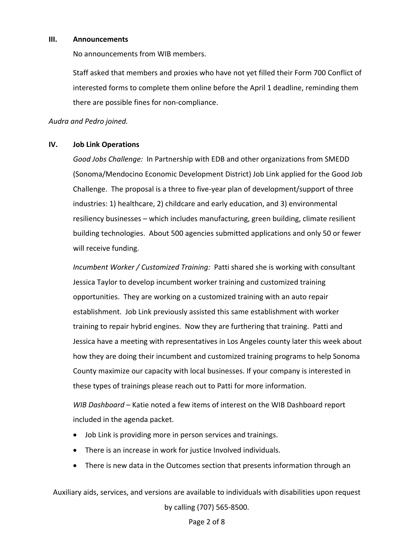#### **III. Announcements**

No announcements from WIB members.

Staff asked that members and proxies who have not yet filled their Form 700 Conflict of interested forms to complete them online before the April 1 deadline, reminding them there are possible fines for non-compliance.

*Audra and Pedro joined.* 

### **IV. Job Link Operations**

*Good Jobs Challenge:* In Partnership with EDB and other organizations from SMEDD (Sonoma/Mendocino Economic Development District) Job Link applied for the Good Job Challenge. The proposal is a three to five-year plan of development/support of three industries: 1) healthcare, 2) childcare and early education, and 3) environmental resiliency businesses – which includes manufacturing, green building, climate resilient building technologies. About 500 agencies submitted applications and only 50 or fewer will receive funding.

*Incumbent Worker / Customized Training:* Patti shared she is working with consultant Jessica Taylor to develop incumbent worker training and customized training opportunities. They are working on a customized training with an auto repair establishment. Job Link previously assisted this same establishment with worker training to repair hybrid engines. Now they are furthering that training. Patti and Jessica have a meeting with representatives in Los Angeles county later this week about how they are doing their incumbent and customized training programs to help Sonoma County maximize our capacity with local businesses. If your company is interested in these types of trainings please reach out to Patti for more information.

*WIB Dashboard –* Katie noted a few items of interest on the WIB Dashboard report included in the agenda packet.

- Job Link is providing more in person services and trainings.
- There is an increase in work for justice Involved individuals.
- There is new data in the Outcomes section that presents information through an

Auxiliary aids, services, and versions are available to individuals with disabilities upon request by calling (707) 565-8500.

# Page 2 of 8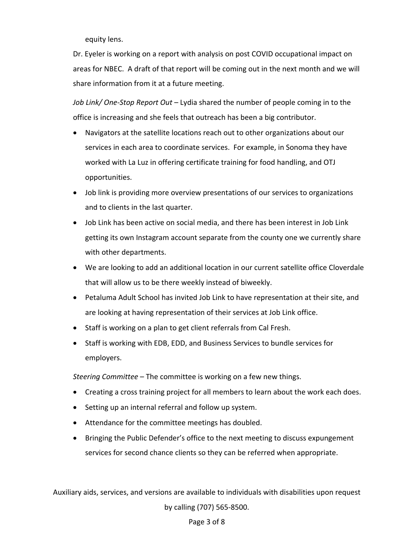equity lens.

Dr. Eyeler is working on a report with analysis on post COVID occupational impact on areas for NBEC. A draft of that report will be coming out in the next month and we will share information from it at a future meeting.

*Job Link/ One-Stop Report Out –* Lydia shared the number of people coming in to the office is increasing and she feels that outreach has been a big contributor.

- Navigators at the satellite locations reach out to other organizations about our services in each area to coordinate services. For example, in Sonoma they have worked with La Luz in offering certificate training for food handling, and OTJ opportunities.
- Job link is providing more overview presentations of our services to organizations and to clients in the last quarter.
- Job Link has been active on social media, and there has been interest in Job Link getting its own Instagram account separate from the county one we currently share with other departments.
- We are looking to add an additional location in our current satellite office Cloverdale that will allow us to be there weekly instead of biweekly.
- Petaluma Adult School has invited Job Link to have representation at their site, and are looking at having representation of their services at Job Link office.
- Staff is working on a plan to get client referrals from Cal Fresh.
- Staff is working with EDB, EDD, and Business Services to bundle services for employers.

*Steering Committee* – The committee is working on a few new things.

- Creating a cross training project for all members to learn about the work each does.
- Setting up an internal referral and follow up system.
- Attendance for the committee meetings has doubled.
- Bringing the Public Defender's office to the next meeting to discuss expungement services for second chance clients so they can be referred when appropriate.

Auxiliary aids, services, and versions are available to individuals with disabilities upon request by calling (707) 565-8500.

# Page 3 of 8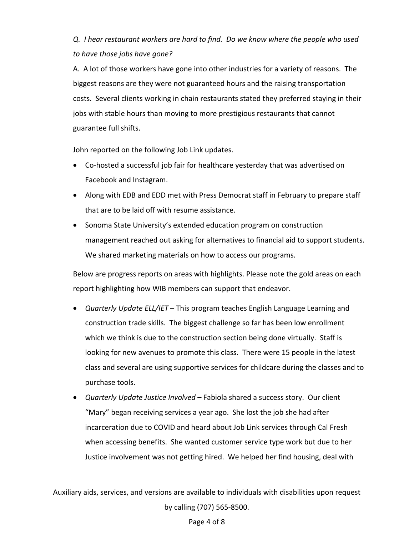*Q. I hear restaurant workers are hard to find. Do we know where the people who used to have those jobs have gone?* 

A. A lot of those workers have gone into other industries for a variety of reasons. The biggest reasons are they were not guaranteed hours and the raising transportation costs. Several clients working in chain restaurants stated they preferred staying in their jobs with stable hours than moving to more prestigious restaurants that cannot guarantee full shifts.

John reported on the following Job Link updates.

- Co-hosted a successful job fair for healthcare yesterday that was advertised on Facebook and Instagram.
- Along with EDB and EDD met with Press Democrat staff in February to prepare staff that are to be laid off with resume assistance.
- Sonoma State University's extended education program on construction management reached out asking for alternatives to financial aid to support students. We shared marketing materials on how to access our programs.

Below are progress reports on areas with highlights. Please note the gold areas on each report highlighting how WIB members can support that endeavor.

- *Quarterly Update ELL/IET*  This program teaches English Language Learning and construction trade skills. The biggest challenge so far has been low enrollment which we think is due to the construction section being done virtually. Staff is looking for new avenues to promote this class. There were 15 people in the latest class and several are using supportive services for childcare during the classes and to purchase tools.
- *Quarterly Update Justice Involved*  Fabiola shared a success story. Our client "Mary" began receiving services a year ago. She lost the job she had after incarceration due to COVID and heard about Job Link services through Cal Fresh when accessing benefits. She wanted customer service type work but due to her Justice involvement was not getting hired. We helped her find housing, deal with

Auxiliary aids, services, and versions are available to individuals with disabilities upon request by calling (707) 565-8500.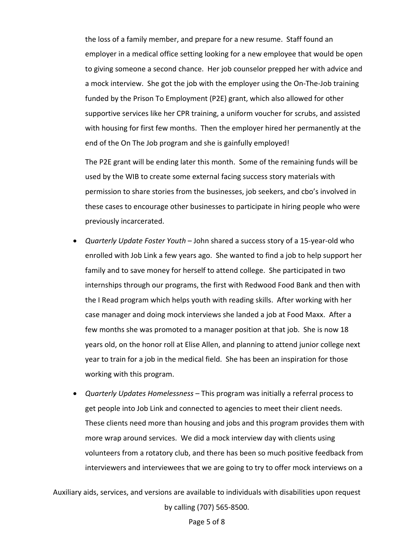the loss of a family member, and prepare for a new resume. Staff found an employer in a medical office setting looking for a new employee that would be open to giving someone a second chance. Her job counselor prepped her with advice and a mock interview. She got the job with the employer using the On-The-Job training funded by the Prison To Employment (P2E) grant, which also allowed for other supportive services like her CPR training, a uniform voucher for scrubs, and assisted with housing for first few months. Then the employer hired her permanently at the end of the On The Job program and she is gainfully employed!

The P2E grant will be ending later this month. Some of the remaining funds will be used by the WIB to create some external facing success story materials with permission to share stories from the businesses, job seekers, and cbo's involved in these cases to encourage other businesses to participate in hiring people who were previously incarcerated.

- *Quarterly Update Foster Youth*  John shared a success story of a 15-year-old who enrolled with Job Link a few years ago. She wanted to find a job to help support her family and to save money for herself to attend college. She participated in two internships through our programs, the first with Redwood Food Bank and then with the I Read program which helps youth with reading skills. After working with her case manager and doing mock interviews she landed a job at Food Maxx. After a few months she was promoted to a manager position at that job. She is now 18 years old, on the honor roll at Elise Allen, and planning to attend junior college next year to train for a job in the medical field. She has been an inspiration for those working with this program.
- *Quarterly Updates Homelessness*  This program was initially a referral process to get people into Job Link and connected to agencies to meet their client needs. These clients need more than housing and jobs and this program provides them with more wrap around services. We did a mock interview day with clients using volunteers from a rotatory club, and there has been so much positive feedback from interviewers and interviewees that we are going to try to offer mock interviews on a

Auxiliary aids, services, and versions are available to individuals with disabilities upon request by calling (707) 565-8500.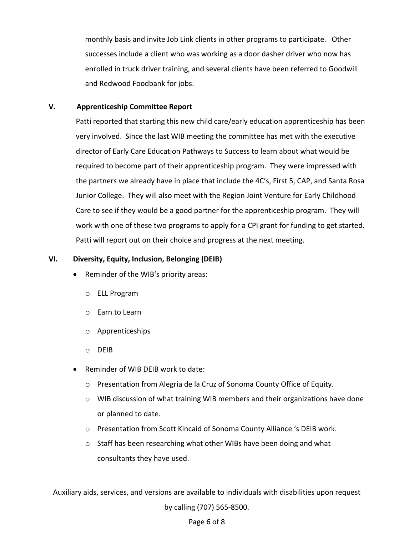monthly basis and invite Job Link clients in other programs to participate. Other successes include a client who was working as a door dasher driver who now has enrolled in truck driver training, and several clients have been referred to Goodwill and Redwood Foodbank for jobs.

## **V. Apprenticeship Committee Report**

Patti reported that starting this new child care/early education apprenticeship has been very involved. Since the last WIB meeting the committee has met with the executive director of Early Care Education Pathways to Success to learn about what would be required to become part of their apprenticeship program. They were impressed with the partners we already have in place that include the 4C's, First 5, CAP, and Santa Rosa Junior College. They will also meet with the Region Joint Venture for Early Childhood Care to see if they would be a good partner for the apprenticeship program. They will work with one of these two programs to apply for a CPI grant for funding to get started. Patti will report out on their choice and progress at the next meeting.

### **VI. Diversity, Equity, Inclusion, Belonging (DEIB)**

- Reminder of the WIB's priority areas:
	- o ELL Program
	- o Earn to Learn
	- o Apprenticeships
	- o DEIB
- Reminder of WIB DEIB work to date:
	- o Presentation from Alegria de la Cruz of Sonoma County Office of Equity.
	- $\circ$  WIB discussion of what training WIB members and their organizations have done or planned to date.
	- o Presentation from Scott Kincaid of Sonoma County Alliance 's DEIB work.
	- $\circ$  Staff has been researching what other WIBs have been doing and what consultants they have used.

Auxiliary aids, services, and versions are available to individuals with disabilities upon request by calling (707) 565-8500.

### Page 6 of 8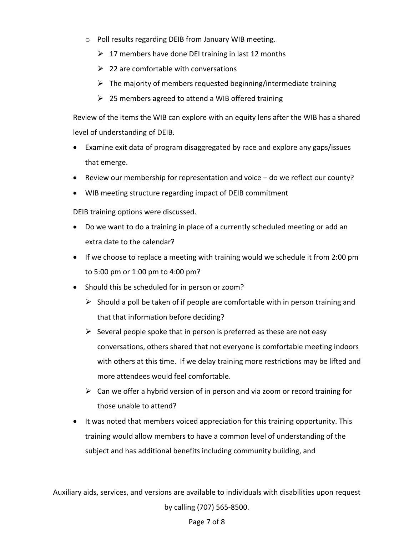- o Poll results regarding DEIB from January WIB meeting.
	- $\geq 17$  members have done DEI training in last 12 months
	- $\geq$  22 are comfortable with conversations
	- $\triangleright$  The majority of members requested beginning/intermediate training
	- $\geq$  25 members agreed to attend a WIB offered training

Review of the items the WIB can explore with an equity lens after the WIB has a shared level of understanding of DEIB.

- Examine exit data of program disaggregated by race and explore any gaps/issues that emerge.
- Review our membership for representation and voice do we reflect our county?
- WIB meeting structure regarding impact of DEIB commitment

DEIB training options were discussed.

- Do we want to do a training in place of a currently scheduled meeting or add an extra date to the calendar?
- If we choose to replace a meeting with training would we schedule it from 2:00 pm to 5:00 pm or 1:00 pm to 4:00 pm?
- Should this be scheduled for in person or zoom?
	- $\triangleright$  Should a poll be taken of if people are comfortable with in person training and that that information before deciding?
	- $\triangleright$  Several people spoke that in person is preferred as these are not easy conversations, others shared that not everyone is comfortable meeting indoors with others at this time. If we delay training more restrictions may be lifted and more attendees would feel comfortable.
	- $\triangleright$  Can we offer a hybrid version of in person and via zoom or record training for those unable to attend?
- It was noted that members voiced appreciation for this training opportunity. This training would allow members to have a common level of understanding of the subject and has additional benefits including community building, and

Auxiliary aids, services, and versions are available to individuals with disabilities upon request by calling (707) 565-8500.

# Page 7 of 8